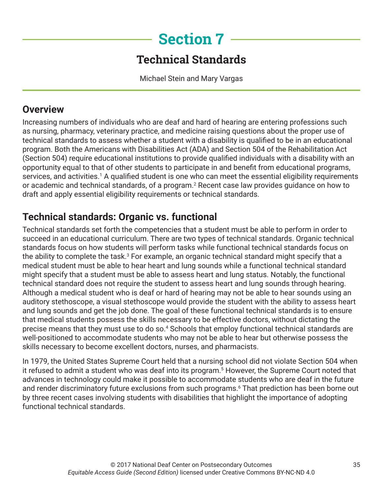# **Section 7**

## **Technical Standards**

Michael Stein and Mary Vargas

## **Overview**

Increasing numbers of individuals who are deaf and hard of hearing are entering professions such as nursing, pharmacy, veterinary practice, and medicine raising questions about the proper use of technical standards to assess whether a student with a disability is qualified to be in an educational program. Both the Americans with Disabilities Act (ADA) and Section 504 of the Rehabilitation Act (Section 504) require educational institutions to provide qualified individuals with a disability with an opportunity equal to that of other students to participate in and benefit from educational programs, services, and activities.<sup>1</sup> A qualified student is one who can meet the essential eligibility requirements or academic and technical standards, of a program.<sup>2</sup> Recent case law provides guidance on how to draft and apply essential eligibility requirements or technical standards.

## **Technical standards: Organic vs. functional**

Technical standards set forth the competencies that a student must be able to perform in order to succeed in an educational curriculum. There are two types of technical standards. Organic technical standards focus on how students will perform tasks while functional technical standards focus on the ability to complete the task. $^3$  For example, an organic technical standard might specify that a medical student must be able to hear heart and lung sounds while a functional technical standard might specify that a student must be able to assess heart and lung status. Notably, the functional technical standard does not require the student to assess heart and lung sounds through hearing. Although a medical student who is deaf or hard of hearing may not be able to hear sounds using an auditory stethoscope, a visual stethoscope would provide the student with the ability to assess heart and lung sounds and get the job done. The goal of these functional technical standards is to ensure that medical students possess the skills necessary to be effective doctors, without dictating the precise means that they must use to do so.<sup>4</sup> Schools that employ functional technical standards are well-positioned to accommodate students who may not be able to hear but otherwise possess the skills necessary to become excellent doctors, nurses, and pharmacists.

In 1979, the United States Supreme Court held that a nursing school did not violate Section 504 when it refused to admit a student who was deaf into its program.5 However, the Supreme Court noted that advances in technology could make it possible to accommodate students who are deaf in the future and render discriminatory future exclusions from such programs.<sup>6</sup> That prediction has been borne out by three recent cases involving students with disabilities that highlight the importance of adopting functional technical standards.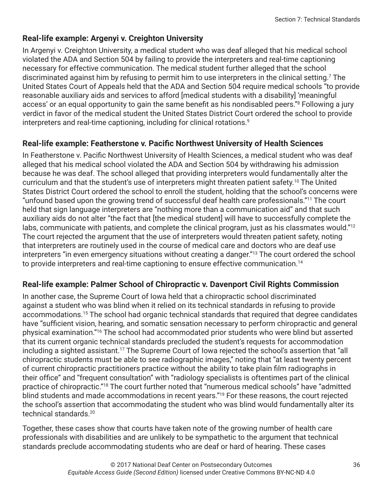#### **Real-life example: Argenyi v. Creighton University**

In Argenyi v. Creighton University, a medical student who was deaf alleged that his medical school violated the ADA and Section 504 by failing to provide the interpreters and real-time captioning necessary for effective communication. The medical student further alleged that the school discriminated against him by refusing to permit him to use interpreters in the clinical setting.<sup>7</sup> The United States Court of Appeals held that the ADA and Section 504 require medical schools "to provide reasonable auxiliary aids and services to afford [medical students with a disability] 'meaningful access' or an equal opportunity to gain the same benefit as his nondisabled peers."<sup>8</sup> Following a jury verdict in favor of the medical student the United States District Court ordered the school to provide interpreters and real-time captioning, including for clinical rotations.<sup>9</sup>

#### **Real-life example: Featherstone v. Pacific Northwest University of Health Sciences**

In Featherstone v. Pacific Northwest University of Health Sciences, a medical student who was deaf alleged that his medical school violated the ADA and Section 504 by withdrawing his admission because he was deaf. The school alleged that providing interpreters would fundamentally alter the curriculum and that the student's use of interpreters might threaten patient safety.<sup>10</sup> The United States District Court ordered the school to enroll the student, holding that the school's concerns were "unfound based upon the growing trend of successful deaf health care professionals."11 The court held that sign language interpreters are "nothing more than a communication aid" and that such auxiliary aids do not alter "the fact that [the medical student] will have to successfully complete the labs, communicate with patients, and complete the clinical program, just as his classmates would."<sup>12</sup> The court rejected the argument that the use of interpreters would threaten patient safety, noting that interpreters are routinely used in the course of medical care and doctors who are deaf use interpreters "in even emergency situations without creating a danger."<sup>13</sup> The court ordered the school to provide interpreters and real-time captioning to ensure effective communication.<sup>14</sup>

#### **Real-life example: Palmer School of Chiropractic v. Davenport Civil Rights Commission**

In another case, the Supreme Court of Iowa held that a chiropractic school discriminated against a student who was blind when it relied on its technical standards in refusing to provide accommodations.15 The school had organic technical standards that required that degree candidates have "sufficient vision, hearing, and somatic sensation necessary to perform chiropractic and general physical examination."16 The school had accommodated prior students who were blind but asserted that its current organic technical standards precluded the student's requests for accommodation including a sighted assistant.<sup>17</sup> The Supreme Court of Iowa rejected the school's assertion that "all chiropractic students must be able to see radiographic images," noting that "at least twenty percent of current chiropractic practitioners practice without the ability to take plain film radiographs in their office" and "frequent consultation" with "radiology specialists is oftentimes part of the clinical practice of chiropractic."18 The court further noted that "numerous medical schools" have "admitted blind students and made accommodations in recent years."19 For these reasons, the court rejected the school's assertion that accommodating the student who was blind would fundamentally alter its technical standards.20

Together, these cases show that courts have taken note of the growing number of health care professionals with disabilities and are unlikely to be sympathetic to the argument that technical standards preclude accommodating students who are deaf or hard of hearing. These cases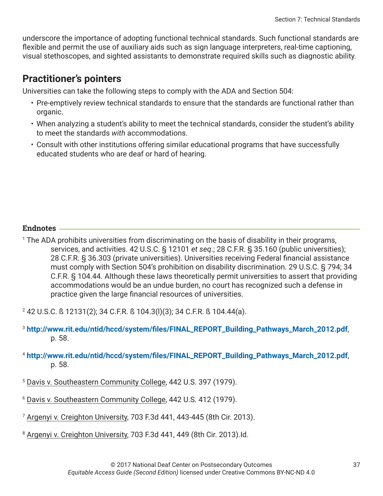underscore the importance of adopting functional technical standards. Such functional standards are flexible and permit the use of auxiliary aids such as sign language interpreters, real-time captioning, visual stethoscopes, and sighted assistants to demonstrate required skills such as diagnostic ability.

## **Practitioner's pointers**

Universities can take the following steps to comply with the ADA and Section 504:

- Pre-emptively review technical standards to ensure that the standards are functional rather than organic.
- When analyzing a student's ability to meet the technical standards, consider the student's ability to meet the standards *with* accommodations.
- Consult with other institutions offering similar educational programs that have successfully educated students who are deaf or hard of hearing.

#### **Endnotes**

1 The ADA prohibits universities from discriminating on the basis of disability in their programs, services, and activities. 42 U.S.C. § 12101 *et seq*.; 28 C.F.R. § 35.160 (public universities); 28 C.F.R. § 36.303 (private universities). Universities receiving Federal financial assistance must comply with Section 504's prohibition on disability discrimination. 29 U.S.C. § 794; 34 C.F.R. § 104.44. Although these laws theoretically permit universities to assert that providing accommodations would be an undue burden, no court has recognized such a defense in practice given the large financial resources of universities.

2 42 U.S.C. ß 12131(2); 34 C.F.R. ß 104.3(l)(3); 34 C.F.R. ß 104.44(a).

- <sup>3</sup> **[http://www.rit.edu/ntid/hccd/system/files/FINAL\\_REPORT\\_Building\\_Pathways\\_March\\_2012.pdf](http://www.rit.edu/ntid/hccd/system/files/FINAL_REPORT_Building_Pathways_March_2012.pdf)**, p. 58.
- <sup>4</sup> **[http://www.rit.edu/ntid/hccd/system/files/FINAL\\_REPORT\\_Building\\_Pathways\\_March\\_2012.pdf](http://www.rit.edu/ntid/hccd/system/files/FINAL_REPORT_Building_Pathways_March_2012.pdf)**, p. 58.
- <sup>5</sup> Davis v. Southeastern Community College, 442 U.S. 397 (1979).
- <sup>6</sup> Davis v. Southeastern Community College, 442 U.S. 412 (1979).
- <sup>7</sup> Argenyi v. Creighton University, 703 F.3d 441, 443-445 (8th Cir. 2013).
- <sup>8</sup> Argenyi v. Creighton University, 703 F.3d 441, 449 (8th Cir. 2013).Id.